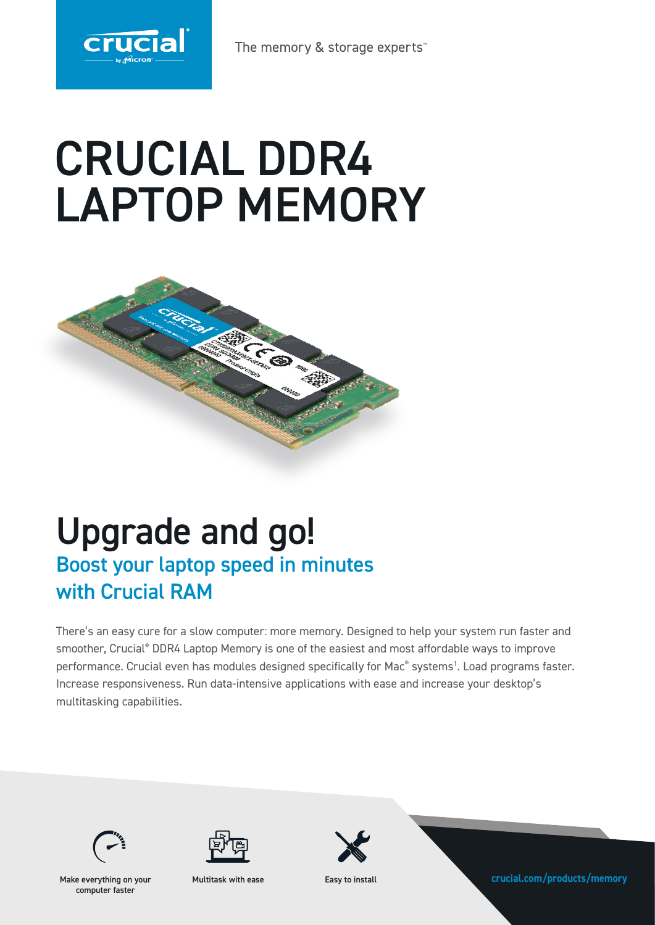

The memory & storage experts<sup>\*</sup>

# CRUCIAL DDR4 LAPTOP MEMORY



# Upgrade and go! Boost your laptop speed in minutes with Crucial RAM

There's an easy cure for a slow computer: more memory. Designed to help your system run faster and smoother, Crucial® DDR4 Laptop Memory is one of the easiest and most affordable ways to improve performance. Crucial even has modules designed specifically for Mac<sup>®</sup> systems<sup>1</sup>. Load programs faster. Increase responsiveness. Run data-intensive applications with ease and increase your desktop's multitasking capabilities.





computer faster

Multitask with ease



Make everything on your **crucial.com/products/memory**